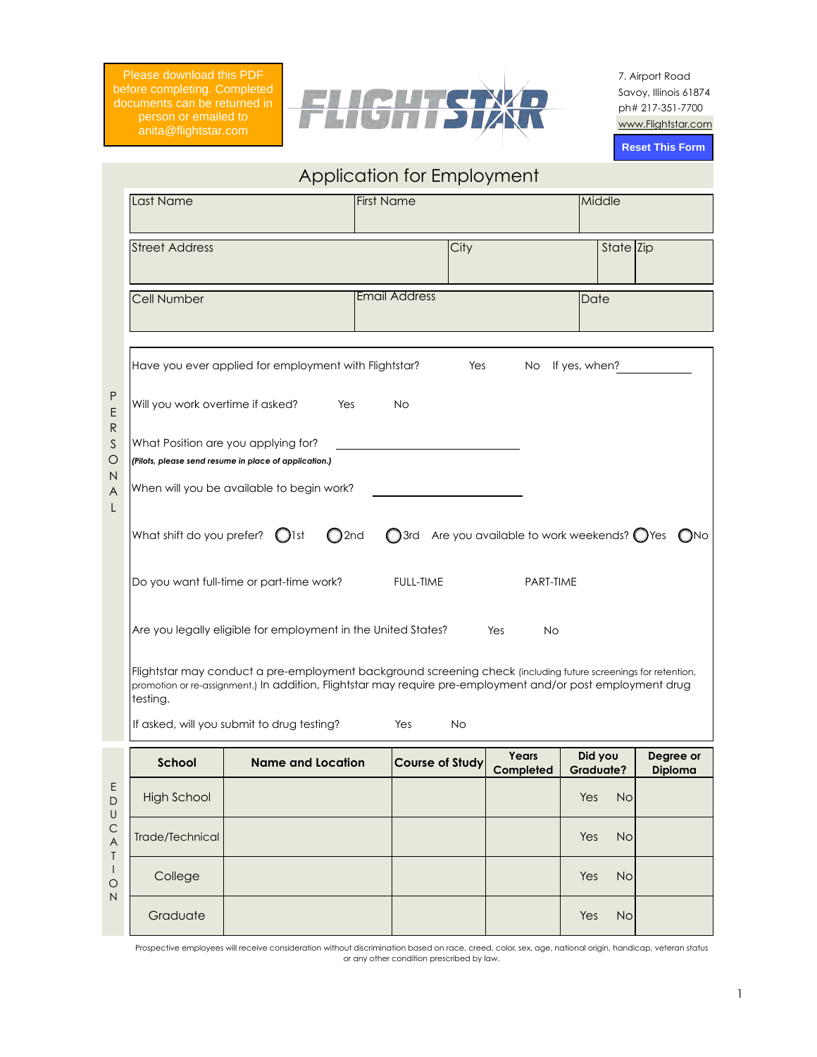Please download this PDF before completing. Completed person or emailed to anita@flightstar.com



7. Airport Road Savoy, Illinois 61874 ph# 217-351-7700 www.Flightstar.com

**Reset This Form**

|                         |                                                                                                                                                                                                                                           |                                                                                              |                      | Application for Employment                                        |                    |                             |                             |  |
|-------------------------|-------------------------------------------------------------------------------------------------------------------------------------------------------------------------------------------------------------------------------------------|----------------------------------------------------------------------------------------------|----------------------|-------------------------------------------------------------------|--------------------|-----------------------------|-----------------------------|--|
|                         | Last Name                                                                                                                                                                                                                                 |                                                                                              | <b>First Name</b>    |                                                                   |                    | Middle                      |                             |  |
|                         | <b>Street Address</b>                                                                                                                                                                                                                     |                                                                                              |                      | City                                                              |                    | State Zip                   |                             |  |
|                         | Cell Number                                                                                                                                                                                                                               |                                                                                              | <b>Email Address</b> |                                                                   |                    | Date                        |                             |  |
|                         |                                                                                                                                                                                                                                           | Have you ever applied for employment with Flightstar?                                        |                      | $\mathbf{O}$ Yes                                                  |                    | $\bigcirc$ No If yes, when? |                             |  |
| P<br>Ε                  | Will you work overtime if asked?                                                                                                                                                                                                          | $\bigcirc$ Yes                                                                               | $\bigcirc$ No        |                                                                   |                    |                             |                             |  |
| R<br>S<br>O             |                                                                                                                                                                                                                                           | What Position are you applying for?<br>(Pilots, please send resume in place of application.) |                      |                                                                   |                    |                             |                             |  |
| Ν<br>A<br>L             | When will you be available to begin work?                                                                                                                                                                                                 |                                                                                              |                      |                                                                   |                    |                             |                             |  |
|                         | What shift do you prefer? $\bigcirc$ 1st                                                                                                                                                                                                  | O <sub>2nd</sub>                                                                             |                      | $\bigcirc$ 3rd Are you available to work weekends? $\bigcirc$ Yes |                    |                             | $\bigcirc$ No               |  |
|                         | $\bigcirc$ Full-time<br>PART-TIME<br>Do you want full-time or part-time work?                                                                                                                                                             |                                                                                              |                      |                                                                   |                    |                             |                             |  |
|                         | Are you legally eligible for employment in the United States?<br>$\bigcirc$ Yes<br>$\bigcirc$ No                                                                                                                                          |                                                                                              |                      |                                                                   |                    |                             |                             |  |
|                         | Flightstar may conduct a pre-employment background screening check (including future screenings for retention,<br>promotion or re-assignment.) In addition, Flightstar may require pre-employment and/or post employment drug<br>testing. |                                                                                              |                      |                                                                   |                    |                             |                             |  |
|                         |                                                                                                                                                                                                                                           | If asked, will you submit to drug testing?                                                   | $\bigcirc$ Yes       | $\bigcirc$ No                                                     |                    |                             |                             |  |
|                         | <b>School</b>                                                                                                                                                                                                                             | <b>Name and Location</b>                                                                     |                      | <b>Course of Study</b>                                            | Years<br>Completed | Did you<br><b>Graduate?</b> | Degree or<br><b>Diploma</b> |  |
| E<br>$\mathsf{D}$<br>U  | <b>High School</b>                                                                                                                                                                                                                        |                                                                                              |                      |                                                                   |                    | $\sqrt{\text{Yes}}$ No      |                             |  |
| $\mathsf{C}$<br>A<br>Τ  | Trade/Technical                                                                                                                                                                                                                           |                                                                                              |                      |                                                                   |                    | $T$ Yes $N$ o               |                             |  |
| $\vert$<br>$\circ$<br>N | College                                                                                                                                                                                                                                   |                                                                                              |                      |                                                                   |                    | $Yes$ No                    |                             |  |
|                         | Graduate                                                                                                                                                                                                                                  |                                                                                              |                      |                                                                   |                    | $Yes$ No                    |                             |  |

Application for Employment

Prospective employees will receive consideration without discrimination based on race, creed, color, sex, age, national origin, handicap, veteran status or any other condition prescribed by law.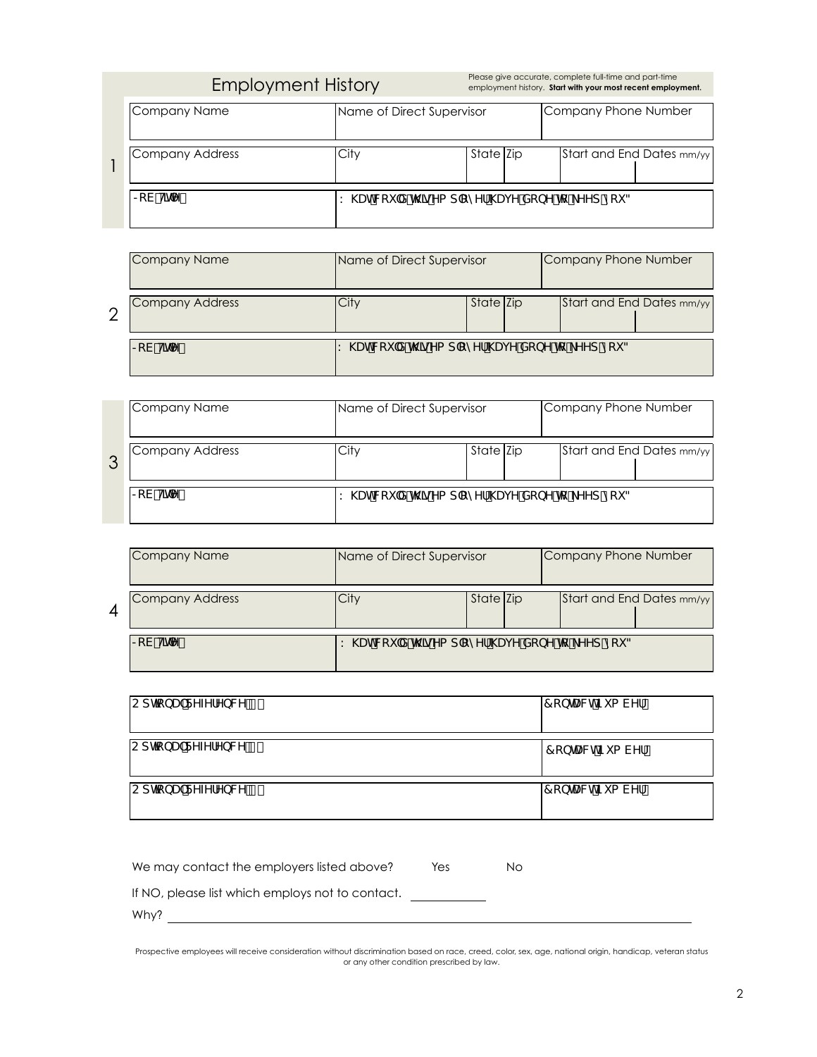|  | <b>Employment History</b> |
|--|---------------------------|
|  |                           |

Please give accurate, complete full-time and part-time<br>employment history. **Start with your most recent employment.** 

| Company Name       | Name of Direct Supervisor              |           |  | Company Phone Number |  |                           |
|--------------------|----------------------------------------|-----------|--|----------------------|--|---------------------------|
| Company Address    | City                                   | State Zip |  |                      |  | Start and End Dates mm/yy |
| $\infty$ V $HhY$ . | K\UhWciXh\]gYad`cmYf\UjYXcbYhc_YYdmci3 |           |  |                      |  |                           |

| Company Name                                   | Name of Direct Supervisor               |           |  | Company Phone Number      |  |
|------------------------------------------------|-----------------------------------------|-----------|--|---------------------------|--|
| Company Address                                | City                                    | State Zip |  | Start and End Dates mm/yy |  |
| $\vert$ $\in$ V $\vert$ H $\vert$ n $\vert$ Y. | K \UhWciXh\]gYad`cmYf\UjYXcbYhc_YYdmci3 |           |  |                           |  |

|   | Company Name         | Name of Direct Supervisor                |           |  | Company Phone Number |                           |
|---|----------------------|------------------------------------------|-----------|--|----------------------|---------------------------|
| 3 | Company Address      | .City                                    | State Zip |  |                      | Start and End Dates mm/yy |
|   | $\geq$ V $H$ h $Y$ . | K \UhWciXh\]gYad`cmYf`\UjYXcbYhc_YYdmci3 |           |  |                      |                           |

|   | Company Name          | Name of Direct Supervisor                         |           | Company Phone Number |                           |  |
|---|-----------------------|---------------------------------------------------|-----------|----------------------|---------------------------|--|
| 4 | Company Address       | $\mathcal{L}$ ity                                 | State Zip |                      | Start and End Dates mm/yy |  |
|   | $\geq$ V $H \cap Y$ . | K \UhWci X h\]gYa d`cmYf`\Uj Y XcbY hc _YYd mci 3 |           |                      |                           |  |

| CdhcbU`FYZYfYbWY 8 | l7 cbHJWhBi a VYf     |
|--------------------|-----------------------|
| CdhcbU`FYZYfYbWY & | l 7 c bhU Wh Bi a VYf |
| CdhcbU`FYZYfYbWY'  | l7 cbHJWhBia VYf      |

| We may contact the employers listed above?       | $\bigcap$ Yes | $\bigcap$ No |
|--------------------------------------------------|---------------|--------------|
| If NO, please list which employs not to contact. |               |              |
| Why?                                             |               |              |

Prospective employees will receive consideration without discrimination based on race, creed, color, sex, age, national origin, handicap, veteran status or any other condition prescribed by law.

1